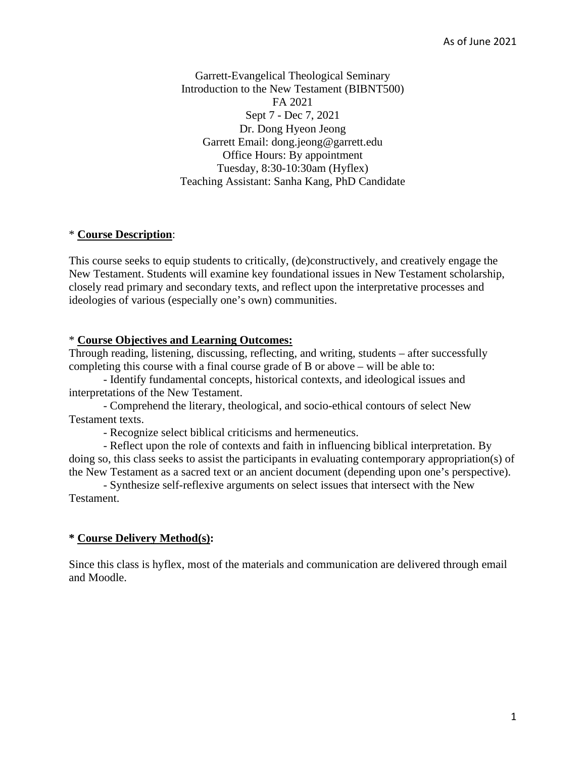Garrett-Evangelical Theological Seminary Introduction to the New Testament (BIBNT500) FA 2021 Sept 7 - Dec 7, 2021 Dr. Dong Hyeon Jeong Garrett Email: dong.jeong@garrett.edu Office Hours: By appointment Tuesday, 8:30-10:30am (Hyflex) Teaching Assistant: Sanha Kang, PhD Candidate

#### \* **Course Description**:

This course seeks to equip students to critically, (de)constructively, and creatively engage the New Testament. Students will examine key foundational issues in New Testament scholarship, closely read primary and secondary texts, and reflect upon the interpretative processes and ideologies of various (especially one's own) communities.

#### \* **Course Objectives and Learning Outcomes:**

Through reading, listening, discussing, reflecting, and writing, students – after successfully completing this course with a final course grade of B or above – will be able to:

 - Identify fundamental concepts, historical contexts, and ideological issues and interpretations of the New Testament.

 - Comprehend the literary, theological, and socio-ethical contours of select New Testament texts.

- Recognize select biblical criticisms and hermeneutics.

 - Reflect upon the role of contexts and faith in influencing biblical interpretation. By doing so, this class seeks to assist the participants in evaluating contemporary appropriation(s) of the New Testament as a sacred text or an ancient document (depending upon one's perspective).

 - Synthesize self-reflexive arguments on select issues that intersect with the New Testament.

#### **\* Course Delivery Method(s):**

Since this class is hyflex, most of the materials and communication are delivered through email and Moodle.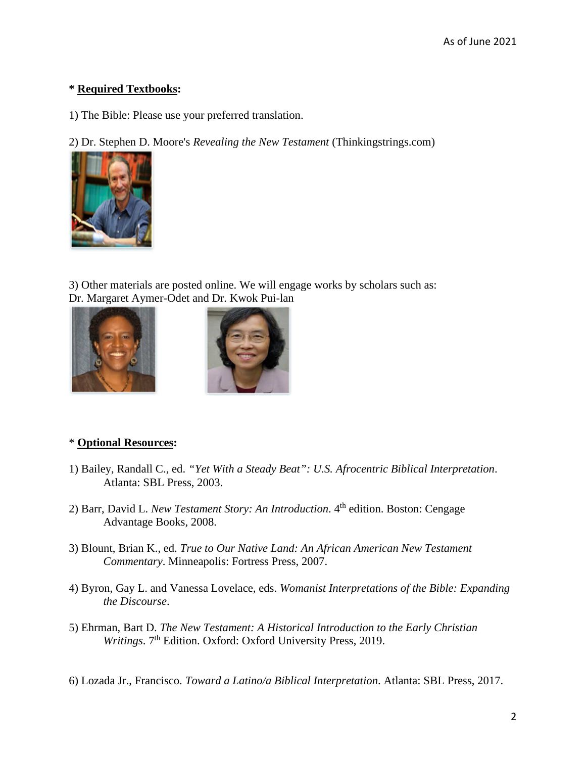# **\* Required Textbooks:**

1) The Bible: Please use your preferred translation.

2) Dr. Stephen D. Moore's *Revealing the New Testament* (Thinkingstrings.com)



3) Other materials are posted online. We will engage works by scholars such as: Dr. Margaret Aymer-Odet and Dr. Kwok Pui-lan





## \* **Optional Resources:**

- 1) Bailey, Randall C., ed. *"Yet With a Steady Beat": U.S. Afrocentric Biblical Interpretation*. Atlanta: SBL Press, 2003.
- 2) Barr, David L. *New Testament Story: An Introduction*. 4<sup>th</sup> edition. Boston: Cengage Advantage Books, 2008.
- 3) Blount, Brian K., ed. *True to Our Native Land: An African American New Testament Commentary*. Minneapolis: Fortress Press, 2007.
- 4) Byron, Gay L. and Vanessa Lovelace, eds. *Womanist Interpretations of the Bible: Expanding the Discourse*.
- 5) Ehrman, Bart D. *The New Testament: A Historical Introduction to the Early Christian Writings*. 7<sup>th</sup> Edition. Oxford: Oxford University Press, 2019.

6) Lozada Jr., Francisco. *Toward a Latino/a Biblical Interpretation*. Atlanta: SBL Press, 2017.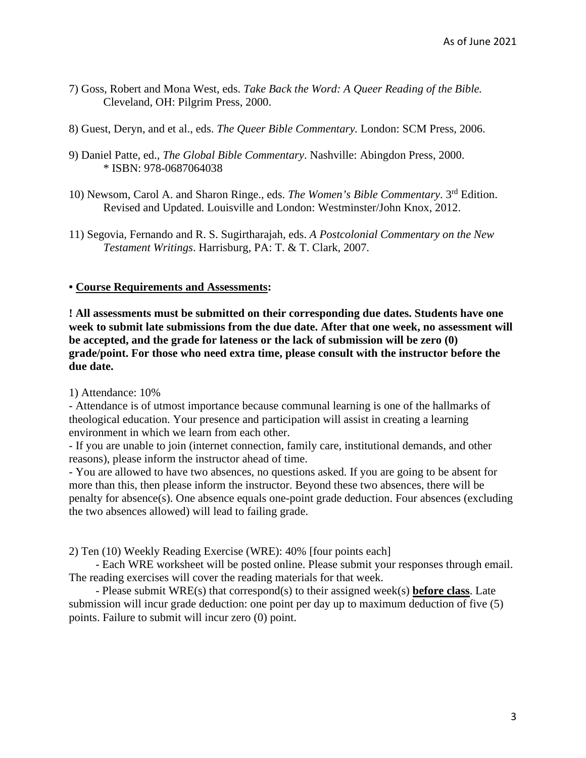- 7) Goss, Robert and Mona West, eds. *Take Back the Word: A Queer Reading of the Bible.*  Cleveland, OH: Pilgrim Press, 2000.
- 8) Guest, Deryn, and et al., eds. *The Queer Bible Commentary.* London: SCM Press, 2006.
- 9) Daniel Patte, ed., *The Global Bible Commentary*. Nashville: Abingdon Press, 2000. \* ISBN: 978-0687064038
- 10) Newsom, Carol A. and Sharon Ringe., eds. *The Women's Bible Commentary*. 3rd Edition. Revised and Updated. Louisville and London: Westminster/John Knox, 2012.
- 11) Segovia, Fernando and R. S. Sugirtharajah, eds. *A Postcolonial Commentary on the New Testament Writings*. Harrisburg, PA: T. & T. Clark, 2007.

## **• Course Requirements and Assessments:**

**! All assessments must be submitted on their corresponding due dates. Students have one week to submit late submissions from the due date. After that one week, no assessment will be accepted, and the grade for lateness or the lack of submission will be zero (0) grade/point. For those who need extra time, please consult with the instructor before the due date.** 

1) Attendance: 10%

- Attendance is of utmost importance because communal learning is one of the hallmarks of theological education. Your presence and participation will assist in creating a learning environment in which we learn from each other.

- If you are unable to join (internet connection, family care, institutional demands, and other reasons), please inform the instructor ahead of time.

- You are allowed to have two absences, no questions asked. If you are going to be absent for more than this, then please inform the instructor. Beyond these two absences, there will be penalty for absence(s). One absence equals one-point grade deduction. Four absences (excluding the two absences allowed) will lead to failing grade.

2) Ten (10) Weekly Reading Exercise (WRE): 40% [four points each]

 - Each WRE worksheet will be posted online. Please submit your responses through email. The reading exercises will cover the reading materials for that week.

 - Please submit WRE(s) that correspond(s) to their assigned week(s) **before class**. Late submission will incur grade deduction: one point per day up to maximum deduction of five (5) points. Failure to submit will incur zero (0) point.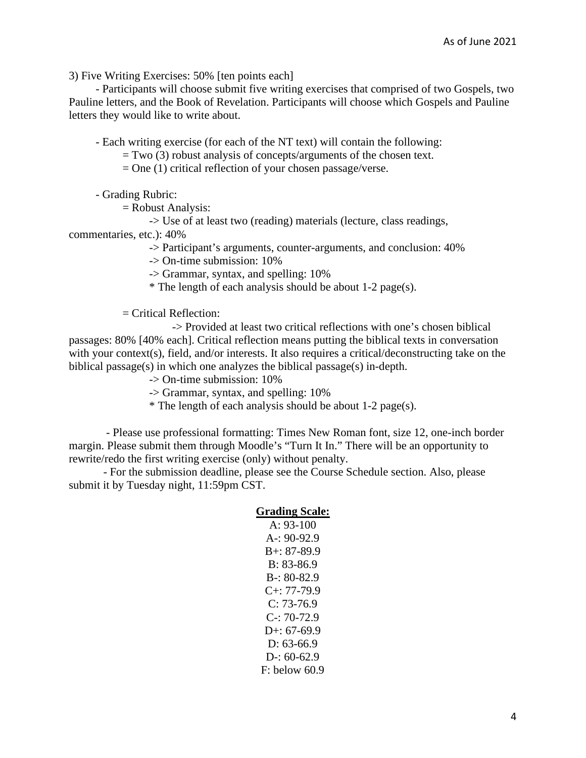3) Five Writing Exercises: 50% [ten points each]

 - Participants will choose submit five writing exercises that comprised of two Gospels, two Pauline letters, and the Book of Revelation. Participants will choose which Gospels and Pauline letters they would like to write about.

- Each writing exercise (for each of the NT text) will contain the following:

 $=$  Two (3) robust analysis of concepts/arguments of the chosen text.

 $=$  One (1) critical reflection of your chosen passage/verse.

- Grading Rubric:

= Robust Analysis:

-> Use of at least two (reading) materials (lecture, class readings,

commentaries, etc.): 40%

-> Participant's arguments, counter-arguments, and conclusion: 40%

-> On-time submission: 10%

-> Grammar, syntax, and spelling: 10%

\* The length of each analysis should be about 1-2 page(s).

= Critical Reflection:

 -> Provided at least two critical reflections with one's chosen biblical passages: 80% [40% each]. Critical reflection means putting the biblical texts in conversation with your context(s), field, and/or interests. It also requires a critical/deconstructing take on the biblical passage(s) in which one analyzes the biblical passage(s) in-depth.

-> On-time submission: 10%

-> Grammar, syntax, and spelling: 10%

\* The length of each analysis should be about 1-2 page(s).

 - Please use professional formatting: Times New Roman font, size 12, one-inch border margin. Please submit them through Moodle's "Turn It In." There will be an opportunity to rewrite/redo the first writing exercise (only) without penalty.

 - For the submission deadline, please see the Course Schedule section. Also, please submit it by Tuesday night, 11:59pm CST.

#### **Grading Scale:**

A: 93-100 A-: 90-92.9 B+: 87-89.9 B: 83-86.9 B-: 80-82.9  $C_{+}$ : 77-79.9  $C: 73-76.9$  $C-: 70-72.9$ D+:  $67-69.9$ D: 63-66.9  $D-0.60-62.9$ F: below 60.9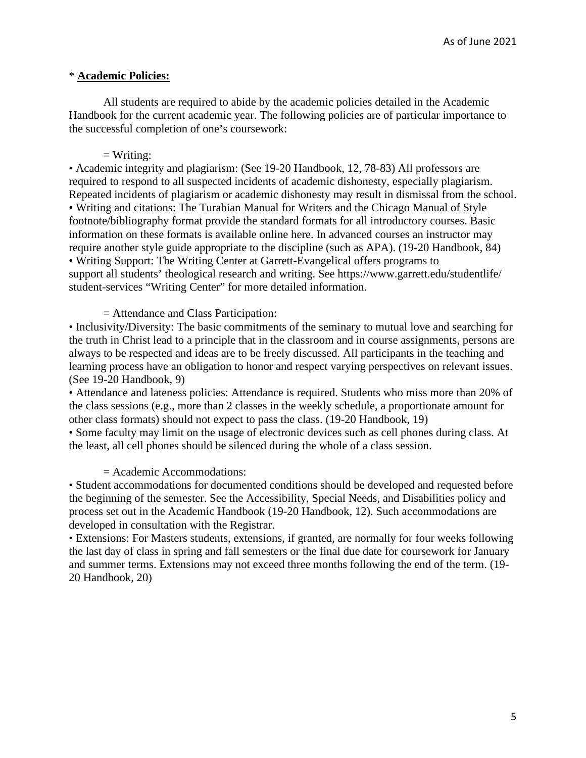## \* **Academic Policies:**

 All students are required to abide by the academic policies detailed in the Academic Handbook for the current academic year. The following policies are of particular importance to the successful completion of one's coursework:

#### $=$  Writing:

• Academic integrity and plagiarism: (See 19-20 Handbook, 12, 78-83) All professors are required to respond to all suspected incidents of academic dishonesty, especially plagiarism. Repeated incidents of plagiarism or academic dishonesty may result in dismissal from the school. • Writing and citations: The Turabian Manual for Writers and the Chicago Manual of Style footnote/bibliography format provide the standard formats for all introductory courses. Basic information on these formats is available online here. In advanced courses an instructor may require another style guide appropriate to the discipline (such as APA). (19-20 Handbook, 84) • Writing Support: The Writing Center at Garrett-Evangelical offers programs to support all students' theological research and writing. See https://www.garrett.edu/studentlife/ student-services "Writing Center" for more detailed information.

= Attendance and Class Participation:

• Inclusivity/Diversity: The basic commitments of the seminary to mutual love and searching for the truth in Christ lead to a principle that in the classroom and in course assignments, persons are always to be respected and ideas are to be freely discussed. All participants in the teaching and learning process have an obligation to honor and respect varying perspectives on relevant issues. (See 19-20 Handbook, 9)

• Attendance and lateness policies: Attendance is required. Students who miss more than 20% of the class sessions (e.g., more than 2 classes in the weekly schedule, a proportionate amount for other class formats) should not expect to pass the class. (19-20 Handbook, 19)

• Some faculty may limit on the usage of electronic devices such as cell phones during class. At the least, all cell phones should be silenced during the whole of a class session.

= Academic Accommodations:

• Student accommodations for documented conditions should be developed and requested before the beginning of the semester. See the Accessibility, Special Needs, and Disabilities policy and process set out in the Academic Handbook (19-20 Handbook, 12). Such accommodations are developed in consultation with the Registrar.

• Extensions: For Masters students, extensions, if granted, are normally for four weeks following the last day of class in spring and fall semesters or the final due date for coursework for January and summer terms. Extensions may not exceed three months following the end of the term. (19- 20 Handbook, 20)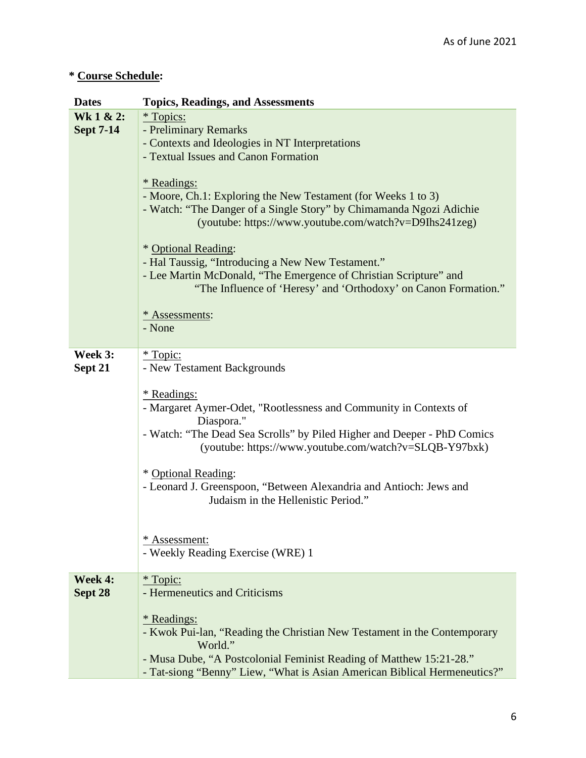# **\* Course Schedule:**

| <b>Dates</b>                  | <b>Topics, Readings, and Assessments</b>                                                                                                                                                                                                                                                                                                                                                                                                                                                                                                                                                                            |
|-------------------------------|---------------------------------------------------------------------------------------------------------------------------------------------------------------------------------------------------------------------------------------------------------------------------------------------------------------------------------------------------------------------------------------------------------------------------------------------------------------------------------------------------------------------------------------------------------------------------------------------------------------------|
| Wk 1 & 2:<br><b>Sept 7-14</b> | <i>*</i> Topics:<br>- Preliminary Remarks<br>- Contexts and Ideologies in NT Interpretations<br>- Textual Issues and Canon Formation<br><i><b>*</b></i> Readings:<br>- Moore, Ch.1: Exploring the New Testament (for Weeks 1 to 3)<br>- Watch: "The Danger of a Single Story" by Chimamanda Ngozi Adichie<br>(youtube: https://www.youtube.com/watch?v=D9Ihs241zeg)<br>* Optional Reading:<br>- Hal Taussig, "Introducing a New New Testament."<br>- Lee Martin McDonald, "The Emergence of Christian Scripture" and<br>"The Influence of 'Heresy' and 'Orthodoxy' on Canon Formation."<br>* Assessments:<br>- None |
| Week 3:<br>Sept 21            | <u>* Topic:</u><br>- New Testament Backgrounds<br>* Readings:<br>- Margaret Aymer-Odet, "Rootlessness and Community in Contexts of<br>Diaspora."<br>- Watch: "The Dead Sea Scrolls" by Piled Higher and Deeper - PhD Comics<br>(youtube: https://www.youtube.com/watch?v=SLQB-Y97bxk)<br>* Optional Reading:<br>- Leonard J. Greenspoon, "Between Alexandria and Antioch: Jews and<br>Judaism in the Hellenistic Period."<br>* Assessment:<br>- Weekly Reading Exercise (WRE) 1                                                                                                                                     |
| Week 4:<br>Sept 28            | * Topic:<br>- Hermeneutics and Criticisms<br><i>*</i> Readings:<br>- Kwok Pui-lan, "Reading the Christian New Testament in the Contemporary<br>World."<br>- Musa Dube, "A Postcolonial Feminist Reading of Matthew 15:21-28."<br>- Tat-siong "Benny" Liew, "What is Asian American Biblical Hermeneutics?"                                                                                                                                                                                                                                                                                                          |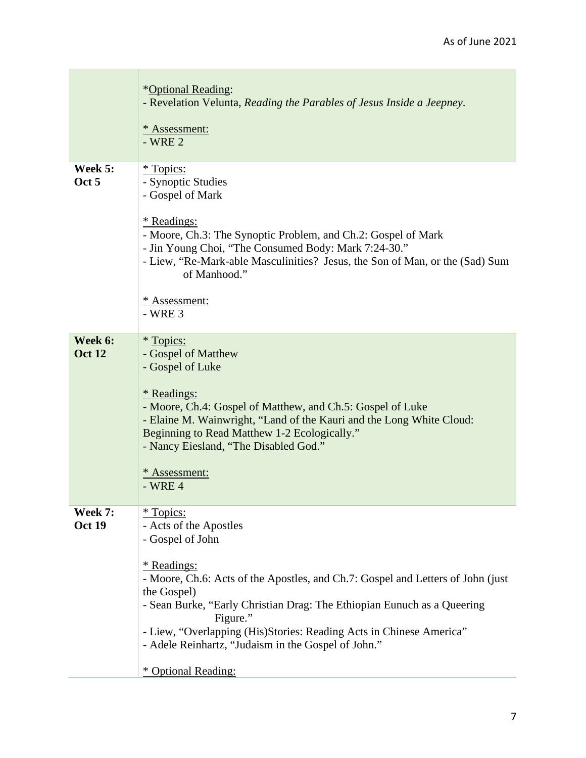|                          | *Optional Reading:<br>- Revelation Velunta, Reading the Parables of Jesus Inside a Jeepney.<br>* Assessment:<br>$-WRE2$                                                                                                                                                                                                                                                                                                                   |
|--------------------------|-------------------------------------------------------------------------------------------------------------------------------------------------------------------------------------------------------------------------------------------------------------------------------------------------------------------------------------------------------------------------------------------------------------------------------------------|
| Week 5:<br>Oct 5         | <i>*</i> Topics:<br>- Synoptic Studies<br>- Gospel of Mark<br>* Readings:<br>- Moore, Ch.3: The Synoptic Problem, and Ch.2: Gospel of Mark<br>- Jin Young Choi, "The Consumed Body: Mark 7:24-30."<br>- Liew, "Re-Mark-able Masculinities? Jesus, the Son of Man, or the (Sad) Sum<br>of Manhood."<br>* Assessment:<br>$-WRE3$                                                                                                            |
| Week 6:<br><b>Oct 12</b> | * Topics:<br>- Gospel of Matthew<br>- Gospel of Luke<br><i><b>*</b></i> Readings:<br>- Moore, Ch.4: Gospel of Matthew, and Ch.5: Gospel of Luke<br>- Elaine M. Wainwright, "Land of the Kauri and the Long White Cloud:<br>Beginning to Read Matthew 1-2 Ecologically."<br>- Nancy Eiesland, "The Disabled God."<br>* Assessment:<br>$-$ WRE 4                                                                                            |
| Week 7:<br><b>Oct 19</b> | <i>*</i> Topics:<br>- Acts of the Apostles<br>- Gospel of John<br><i><b>*</b></i> Readings:<br>- Moore, Ch.6: Acts of the Apostles, and Ch.7: Gospel and Letters of John (just<br>the Gospel)<br>- Sean Burke, "Early Christian Drag: The Ethiopian Eunuch as a Queering<br>Figure."<br>- Liew, "Overlapping (His)Stories: Reading Acts in Chinese America"<br>- Adele Reinhartz, "Judaism in the Gospel of John."<br>* Optional Reading: |

 $\mathbb{R}^n$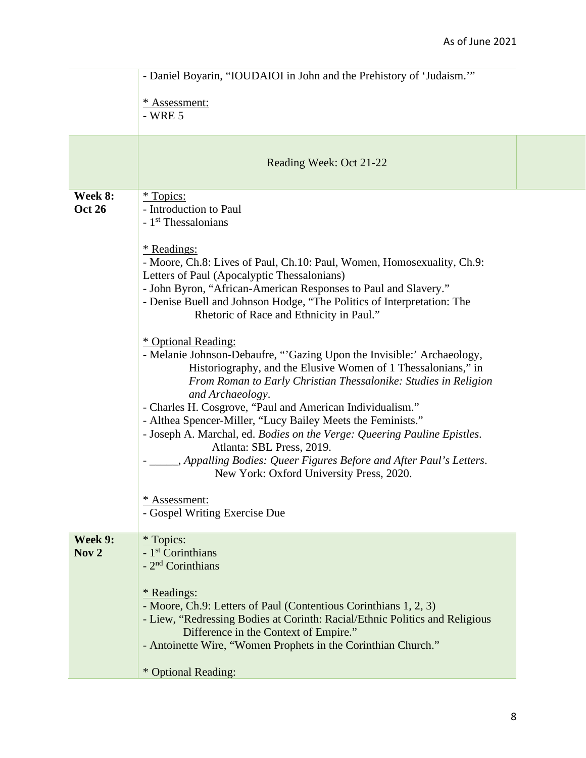|                             | - Daniel Boyarin, "IOUDAIOI in John and the Prehistory of 'Judaism."                                                                                                                                                                                                                                                                                                                                                                                                                                                                                                                                                                                                                                                                                                                                                                                                                                                                                                                                                                                                            |  |
|-----------------------------|---------------------------------------------------------------------------------------------------------------------------------------------------------------------------------------------------------------------------------------------------------------------------------------------------------------------------------------------------------------------------------------------------------------------------------------------------------------------------------------------------------------------------------------------------------------------------------------------------------------------------------------------------------------------------------------------------------------------------------------------------------------------------------------------------------------------------------------------------------------------------------------------------------------------------------------------------------------------------------------------------------------------------------------------------------------------------------|--|
|                             | * Assessment:<br>$-$ WRE $5$                                                                                                                                                                                                                                                                                                                                                                                                                                                                                                                                                                                                                                                                                                                                                                                                                                                                                                                                                                                                                                                    |  |
|                             | Reading Week: Oct 21-22                                                                                                                                                                                                                                                                                                                                                                                                                                                                                                                                                                                                                                                                                                                                                                                                                                                                                                                                                                                                                                                         |  |
| Week 8:<br><b>Oct 26</b>    | * Topics:<br>- Introduction to Paul<br>- 1 <sup>st</sup> Thessalonians<br>* Readings:<br>- Moore, Ch.8: Lives of Paul, Ch.10: Paul, Women, Homosexuality, Ch.9:<br>Letters of Paul (Apocalyptic Thessalonians)<br>- John Byron, "African-American Responses to Paul and Slavery."<br>- Denise Buell and Johnson Hodge, "The Politics of Interpretation: The<br>Rhetoric of Race and Ethnicity in Paul."<br>* Optional Reading:<br>- Melanie Johnson-Debaufre, "Gazing Upon the Invisible:' Archaeology,<br>Historiography, and the Elusive Women of 1 Thessalonians," in<br>From Roman to Early Christian Thessalonike: Studies in Religion<br>and Archaeology.<br>- Charles H. Cosgrove, "Paul and American Individualism."<br>- Althea Spencer-Miller, "Lucy Bailey Meets the Feminists."<br>- Joseph A. Marchal, ed. Bodies on the Verge: Queering Pauline Epistles.<br>Atlanta: SBL Press, 2019.<br>- _____, Appalling Bodies: Queer Figures Before and After Paul's Letters.<br>New York: Oxford University Press, 2020.<br>* Assessment:<br>- Gospel Writing Exercise Due |  |
| Week 9:<br>Nov <sub>2</sub> | <i>*</i> Topics:<br>- 1 <sup>st</sup> Corinthians<br>- 2 <sup>nd</sup> Corinthians<br><i>*</i> Readings:<br>- Moore, Ch.9: Letters of Paul (Contentious Corinthians 1, 2, 3)<br>- Liew, "Redressing Bodies at Corinth: Racial/Ethnic Politics and Religious<br>Difference in the Context of Empire."<br>- Antoinette Wire, "Women Prophets in the Corinthian Church."<br>* Optional Reading:                                                                                                                                                                                                                                                                                                                                                                                                                                                                                                                                                                                                                                                                                    |  |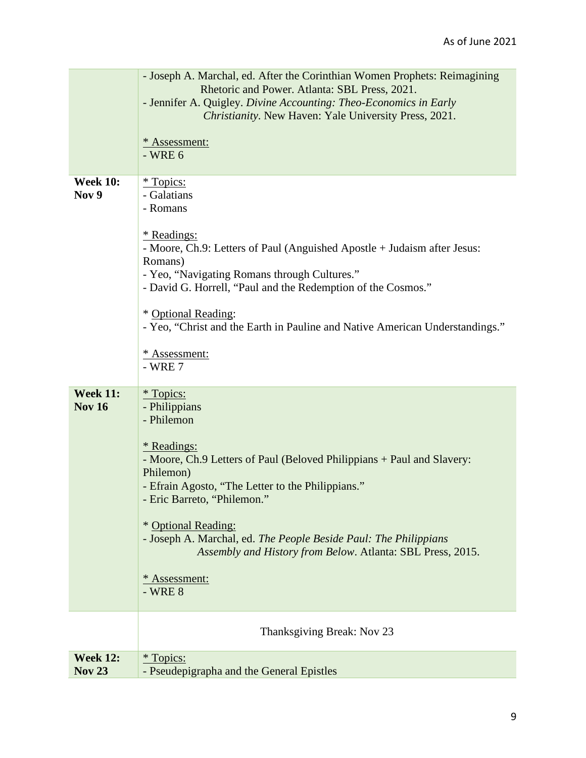|                                  | - Joseph A. Marchal, ed. After the Corinthian Women Prophets: Reimagining<br>Rhetoric and Power. Atlanta: SBL Press, 2021.                                                                                                |
|----------------------------------|---------------------------------------------------------------------------------------------------------------------------------------------------------------------------------------------------------------------------|
|                                  | - Jennifer A. Quigley. Divine Accounting: Theo-Economics in Early<br>Christianity. New Haven: Yale University Press, 2021.                                                                                                |
|                                  | * Assessment:<br>$-WRE6$                                                                                                                                                                                                  |
| <b>Week 10:</b><br>Nov 9         | <i>*</i> Topics:<br>- Galatians<br>- Romans                                                                                                                                                                               |
|                                  | <u>* Readings:</u><br>- Moore, Ch.9: Letters of Paul (Anguished Apostle + Judaism after Jesus:<br>Romans)<br>- Yeo, "Navigating Romans through Cultures."<br>- David G. Horrell, "Paul and the Redemption of the Cosmos." |
|                                  | * Optional Reading:<br>- Yeo, "Christ and the Earth in Pauline and Native American Understandings."                                                                                                                       |
|                                  | * Assessment:<br>- WRE 7                                                                                                                                                                                                  |
| <b>Week 11:</b><br><b>Nov 16</b> | <i>*</i> Topics:<br>- Philippians<br>- Philemon                                                                                                                                                                           |
|                                  | <i><b>*</b></i> Readings:<br>- Moore, Ch.9 Letters of Paul (Beloved Philippians + Paul and Slavery:                                                                                                                       |
|                                  | Philemon)<br>- Efrain Agosto, "The Letter to the Philippians."<br>- Eric Barreto, "Philemon."                                                                                                                             |
|                                  | * Optional Reading:<br>- Joseph A. Marchal, ed. The People Beside Paul: The Philippians<br>Assembly and History from Below. Atlanta: SBL Press, 2015.                                                                     |
|                                  | * Assessment:<br>$-$ WRE $8$                                                                                                                                                                                              |
|                                  | Thanksgiving Break: Nov 23                                                                                                                                                                                                |
| <b>Week 12:</b><br><b>Nov 23</b> | <i>*</i> Topics:<br>- Pseudepigrapha and the General Epistles                                                                                                                                                             |